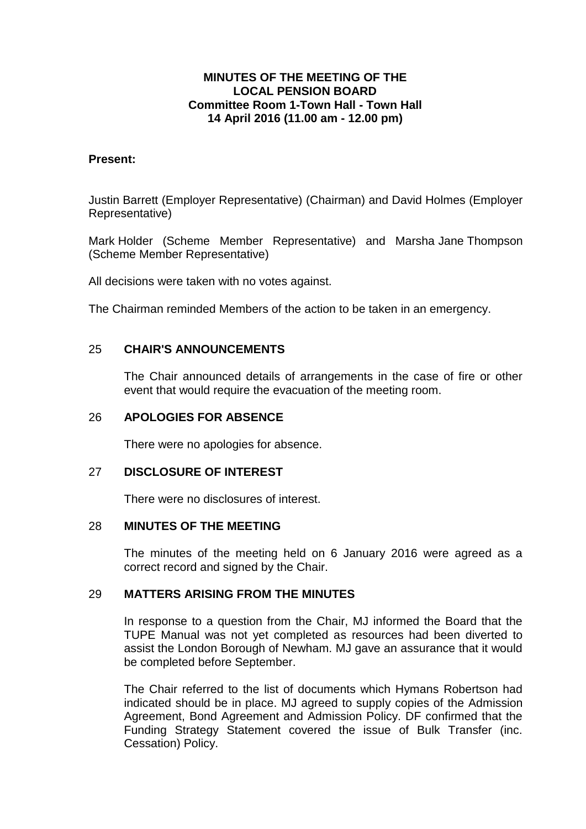## **MINUTES OF THE MEETING OF THE LOCAL PENSION BOARD Committee Room 1-Town Hall - Town Hall 14 April 2016 (11.00 am - 12.00 pm)**

### **Present:**

Justin Barrett (Employer Representative) (Chairman) and David Holmes (Employer Representative)

Mark Holder (Scheme Member Representative) and Marsha Jane Thompson (Scheme Member Representative)

All decisions were taken with no votes against.

The Chairman reminded Members of the action to be taken in an emergency.

### 25 **CHAIR'S ANNOUNCEMENTS**

The Chair announced details of arrangements in the case of fire or other event that would require the evacuation of the meeting room.

### 26 **APOLOGIES FOR ABSENCE**

There were no apologies for absence.

#### 27 **DISCLOSURE OF INTEREST**

There were no disclosures of interest.

#### 28 **MINUTES OF THE MEETING**

The minutes of the meeting held on 6 January 2016 were agreed as a correct record and signed by the Chair.

## 29 **MATTERS ARISING FROM THE MINUTES**

In response to a question from the Chair, MJ informed the Board that the TUPE Manual was not yet completed as resources had been diverted to assist the London Borough of Newham. MJ gave an assurance that it would be completed before September.

The Chair referred to the list of documents which Hymans Robertson had indicated should be in place. MJ agreed to supply copies of the Admission Agreement, Bond Agreement and Admission Policy. DF confirmed that the Funding Strategy Statement covered the issue of Bulk Transfer (inc. Cessation) Policy.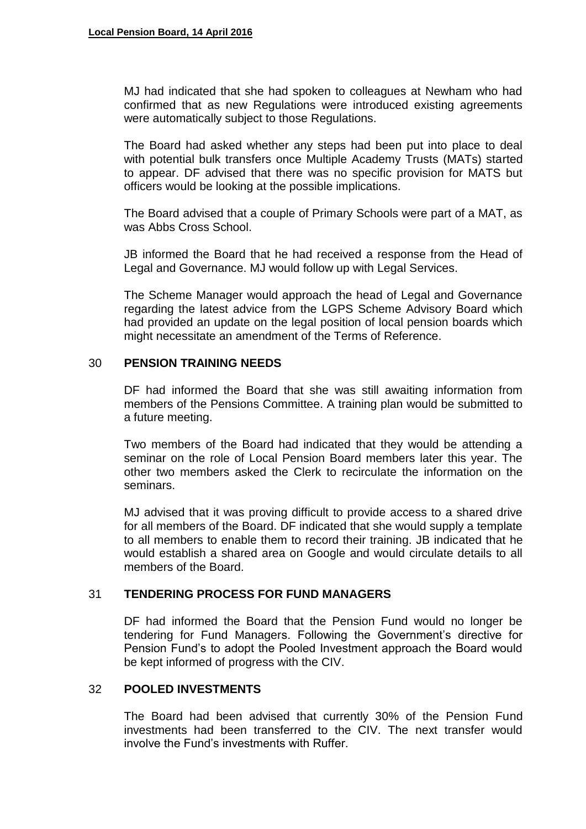MJ had indicated that she had spoken to colleagues at Newham who had confirmed that as new Regulations were introduced existing agreements were automatically subject to those Regulations.

The Board had asked whether any steps had been put into place to deal with potential bulk transfers once Multiple Academy Trusts (MATs) started to appear. DF advised that there was no specific provision for MATS but officers would be looking at the possible implications.

The Board advised that a couple of Primary Schools were part of a MAT, as was Abbs Cross School.

JB informed the Board that he had received a response from the Head of Legal and Governance. MJ would follow up with Legal Services.

The Scheme Manager would approach the head of Legal and Governance regarding the latest advice from the LGPS Scheme Advisory Board which had provided an update on the legal position of local pension boards which might necessitate an amendment of the Terms of Reference.

### 30 **PENSION TRAINING NEEDS**

DF had informed the Board that she was still awaiting information from members of the Pensions Committee. A training plan would be submitted to a future meeting.

Two members of the Board had indicated that they would be attending a seminar on the role of Local Pension Board members later this year. The other two members asked the Clerk to recirculate the information on the seminars.

MJ advised that it was proving difficult to provide access to a shared drive for all members of the Board. DF indicated that she would supply a template to all members to enable them to record their training. JB indicated that he would establish a shared area on Google and would circulate details to all members of the Board.

# 31 **TENDERING PROCESS FOR FUND MANAGERS**

DF had informed the Board that the Pension Fund would no longer be tendering for Fund Managers. Following the Government's directive for Pension Fund's to adopt the Pooled Investment approach the Board would be kept informed of progress with the CIV.

#### 32 **POOLED INVESTMENTS**

The Board had been advised that currently 30% of the Pension Fund investments had been transferred to the CIV. The next transfer would involve the Fund's investments with Ruffer.